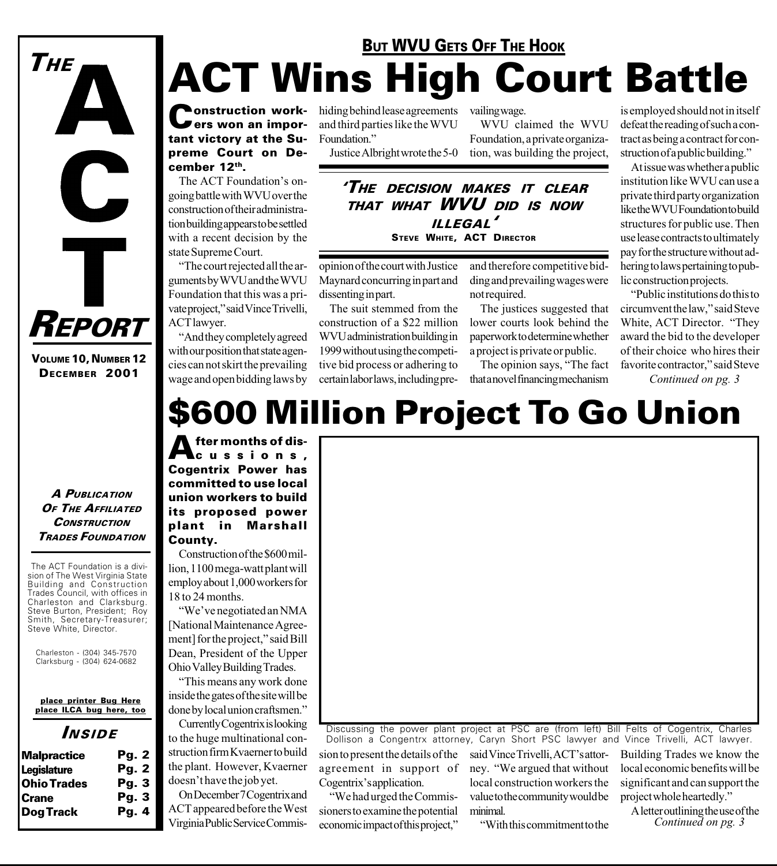## ACT Wins High Court Battle **BUT WVU GETS OFF THE HOOK**

**Construction work-** hiding behind lease agreements<br> **Cers won an impor-** and third parties like the WVU **Pers won an impor**tant victory at the Supreme Court on December 12th.

The ACT Foundation's ongoing battle with WVU over the construction of their administration building appears to be settled with a recent decision by the state Supreme Court.

The court rejected all the arguments by WVU and the WVU Foundation that this was a private project," said Vince Trivelli, ACT lawyer.

And they completely agreed with our position that state agencies can not skirt the prevailing wage and open bidding laws by and third parties like the WVU Foundation."

Justice Albright wrote the 5-0

vailing wage.

WVU claimed the WVU Foundation, a private organization, was building the project,

THE DECISION MAKES IT CLEAR THAT WHAT WVU DID IS NOW ILLEGAL STEVE WHITE, ACT DIRECTOR

opinion of the court with Justice Maynard concurring in part and dissenting in part.

The suit stemmed from the construction of a \$22 million WVU administration building in 1999 without using the competitive bid process or adhering to certain labor laws, including preand therefore competitive bidding and prevailing wages were not required.

The justices suggested that lower courts look behind the paperwork to determine whether a project is private or public.

The opinion says, "The fact that a novel financing mechanism

is employed should not in itself defeat the reading of such a contract as being a contract for construction of a public building."

At issue was whether a public institution like WVU can use a private third party organization like the WVU Foundation to build structures for public use. Then use lease contracts to ultimately pay for the structure without adhering to laws pertaining to public construction projects.

Public institutions do this to circumvent the law," said Steve White, ACT Director. "They award the bid to the developer of their choice who hires their favorite contractor," said Steve

Continued on pg. 3

## \$600 Million Project To Go Union

fter months of discussions, Cogentrix Power has committed to use local union workers to build its proposed power plant in Marshall County.

Construction of the \$600 million, 1100 mega-watt plant will employ about 1,000 workers for

"We've negotiated an NMA Dean, President of the Upper Ohio Valley Building Trades.

This means any work done inside the gates of the site will be done by local union craftsmen.

to the huge multinational construction firm Kvaerner to build the plant. However, Kvaerner doesn't have the job yet.

18 to 24 months. [National Maintenance Agreement] for the project," said Bill

Currently Cogentrix is looking

On December 7 Cogentrix and ACT appeared before the West Virginia Public Service Commis-

Discussing the power plant project at PSC are (from left) Bill Felts of Cogentrix, Charles Dollison a Congentrx attorney, Caryn Short PSC lawyer and Vince Trivelli, ACT lawyer.

sion to present the details of the agreement in support of Cogentrix's application.

We had urged the Commissioners to examine the potential economic impact of this project, said Vince Trivelli, ACT's attorney. We argued that without local construction workers the value to the community would be minimal.

With this commitment to the

Building Trades we know the local economic benefits will be significant and can support the project whole heartedly.

A letter outlining the use of the Continued on pg. 3

A PUBLICATION OF THE AFFILIATED **CONSTRUCTION** TRADES FOUNDATION

The ACT Foundation is a division of The West Virginia State Building and Construction Trades Council, with offices in Charleston and Clarksburg. Steve Burton, President; Roy Smith, Secretary-Treasurer; Steve White, Director.

Charleston - (304) 345-7570 Clarksburg - (304) 624-0682

place printer Bug Here place ILCA bug here, too

#### INSIDE

| <b>Malpractice</b> | Pg. 2 |
|--------------------|-------|
| <b>Legislature</b> | Pg. 2 |
| <b>Ohio Trades</b> | Pg.3  |
| <b>Crane</b>       | Pq.3  |
| <b>Dog Track</b>   | Pq.4  |
|                    |       |

## VOLUME 10, NUMBER 12 DECEMBER 2001

REPORT

THE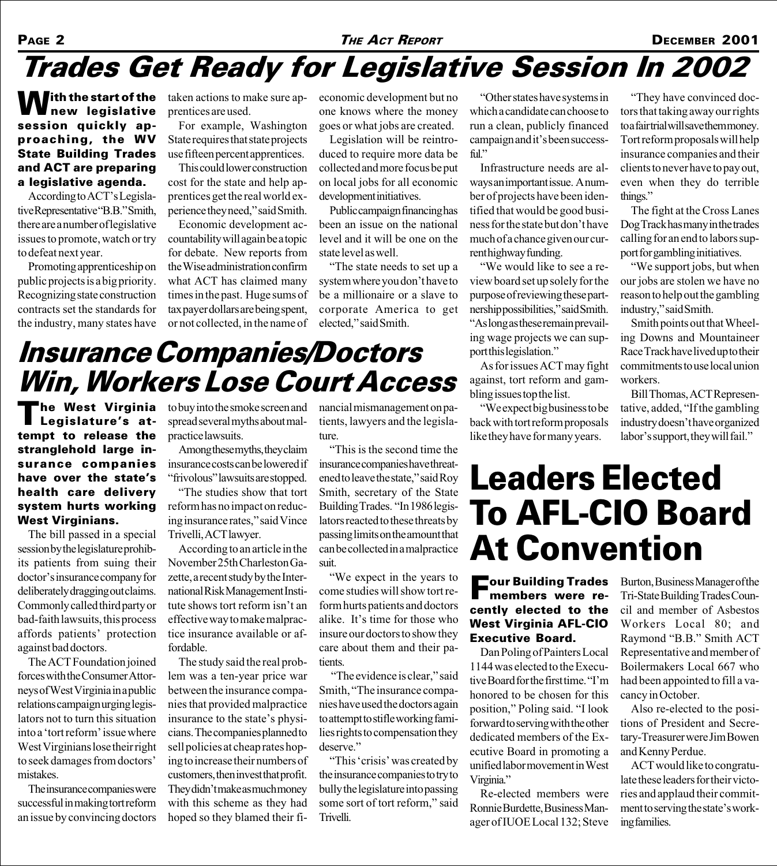#### PAGE 2 **THE ACT REPORT** DECEMBER 2001

### Trades Get Ready for Legislative Session In 2002

**W**ith the start of the<br>**W** new legislative session quickly approaching, the WV State Building Trades and ACT are preparing a legislative agenda.

According to ACT's Legislative Representative "B.B." Smith, there are a number of legislative issues to promote, watch or try to defeat next year.

Promoting apprenticeship on public projects is a big priority. Recognizing state construction contracts set the standards for the industry, many states have taken actions to make sure apprentices are used.

For example, Washington State requires that state projects use fifteen percent apprentices.

This could lower construction cost for the state and help apprentices get the real world experience they need," said Smith.

Economic development accountability will again be a topic for debate. New reports from the Wise administration confirm what ACT has claimed many times in the past. Huge sums of tax payer dollars are being spent, or not collected, in the name of

economic development but no one knows where the money goes or what jobs are created.

Legislation will be reintroduced to require more data be collected and more focus be put on local jobs for all economic development initiatives.

Public campaign financing has been an issue on the national level and it will be one on the state level as well.

The state needs to set up a system where you don't have to be a millionaire or a slave to corporate America to get elected," said Smith.

Other states have systems in which a candidate can choose to run a clean, publicly financed campaign and it's been successful."

Infrastructure needs are always an important issue. A number of projects have been identified that would be good business for the state but don't have much of a chance given our current highway funding.

We would like to see a review board set up solely for the purpose of reviewing these partnership possibilities," said Smith. As long as these remain prevailing wage projects we can support this legislation."

As for issues ACT may fight against, tort reform and gambling issues top the list.

We expect big business to be back with tort reform proposals like they have for many years.

They have convinced doctors that taking away our rights to a fair trial will save them money. Tort reform proposals will help insurance companies and their clients to never have to pay out, even when they do terrible things."

The fight at the Cross Lanes Dog Track has many in the trades calling for an end to labors support for gambling initiatives.

We support jobs, but when our jobs are stolen we have no reason to help out the gambling industry," said Smith.

Smith points out that Wheeling Downs and Mountaineer Race Track have lived up to their commitments to use local union workers.

Bill Thomas, ACT Representative, added, "If the gambling" industry doesn't have organized labor's support, they will fail."

## Insurance Companies/Doctors Win, Workers Lose Court Access

The West Virginia<br>TLegislature's attempt to release the stranglehold large insurance companies have over the state's health care delivery system hurts working West Virginians.

The bill passed in a special session by the legislature prohibits patients from suing their doctor's insurance company for deliberately dragging out claims. Commonly called third party or bad-faith lawsuits, this process affords patients' protection against bad doctors.

The ACT Foundation joined forces with the Consumer Attorneys of West Virginia in a public relations campaign urging legislators not to turn this situation into a 'tort reform' issue where West Virginians lose their right to seek damages from doctors mistakes.

The insurance companies were successful in making tort reform an issue by convincing doctors

to buy into the smoke screen and spread several myths about malpractice lawsuits.

Among these myths, they claim insurance costs can be lowered if "frivolous" lawsuits are stopped.

The studies show that tort reform has no impact on reducing insurance rates," said Vince Trivelli, ACT lawyer.

According to an article in the November 25th Charleston Gazette, a recent study by the International Risk Management Institute shows tort reform isn't an effective way to make malpractice insurance available or affordable.

The study said the real problem was a ten-year price war between the insurance companies that provided malpractice insurance to the state's physicians. The companies planned to sell policies at cheap rates hoping to increase their numbers of customers, then invest that profit. They didn't make as much money with this scheme as they had hoped so they blamed their financial mismanagement on patients, lawyers and the legislature.

This is the second time the insurance companies have threatened to leave the state," said Roy Smith, secretary of the State Building Trades. "In 1986 legislators reacted to these threats by passing limits on the amount that can be collected in a malpractice suit.

We expect in the years to come studies will show tort reform hurts patients and doctors alike. It's time for those who insure our doctors to show they care about them and their patients.

"The evidence is clear," said Smith, "The insurance companies have used the doctors again to attempt to stifle working families rights to compensation they deserve."

"This 'crisis' was created by the insurance companies to try to bully the legislature into passing some sort of tort reform," said Trivelli.

## Leaders Elected To AFL-CIO Board At Convention

#### Four Building Trades members were recently elected to the West Virginia AFL-CIO Executive Board.

Dan Poling of Painters Local 1144 was elected to the Executive Board for the first time. "I'm honored to be chosen for this position," Poling said. "I look forward to serving with the other dedicated members of the Executive Board in promoting a unified labor movement in West Virginia."

Re-elected members were Ronnie Burdette, Business Manager of IUOE Local 132; Steve

Burton, Business Manager of the Tri-State Building Trades Council and member of Asbestos Workers Local 80; and Raymond "B.B." Smith ACT Representative and member of Boilermakers Local 667 who had been appointed to fill a vacancy in October.

Also re-elected to the positions of President and Secretary-Treasurer were Jim Bowen and Kenny Perdue.

ACT would like to congratulate these leaders for their victories and applaud their commitment to serving the state's working families.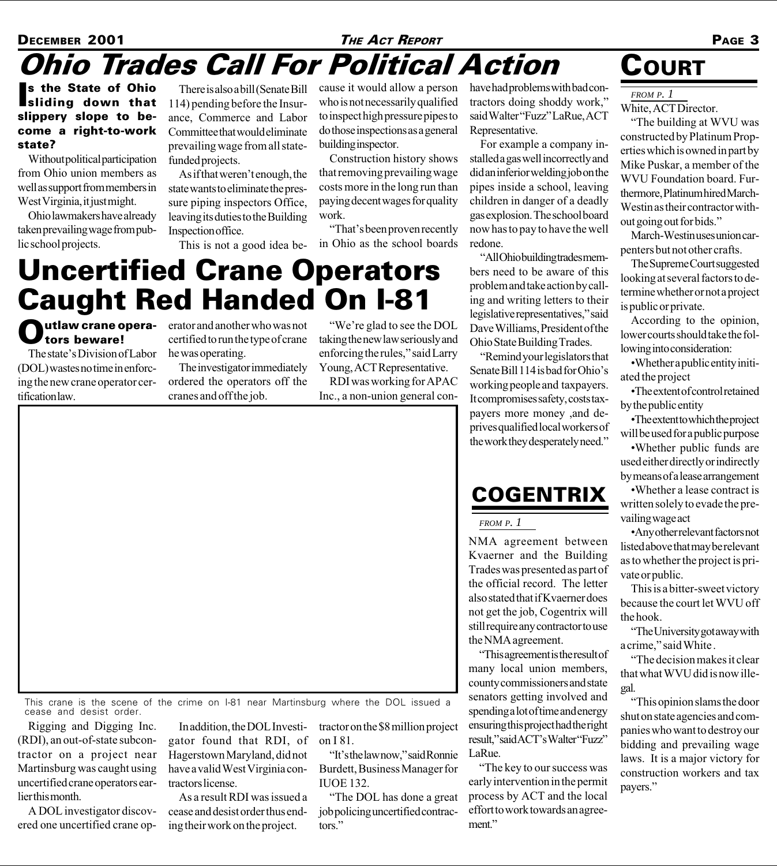#### **DECEMBER 2001 THE ACT REPORT 4 THE ACT REPORT PAGE 3** Ohio Trades Call For Political Action

s the State of Ohio<br>sliding down that s the State of Ohio slippery slope to become a right-to-work state?

Without political participation from Ohio union members as well as support from members in West Virginia, it just might.

Ohio lawmakers have already taken prevailing wage from public school projects.

There is also a bill (Senate Bill 114) pending before the Insurance, Commerce and Labor Committee that would eliminate prevailing wage from all statefunded projects.

As if that weren't enough, the state wants to eliminate the pressure piping inspectors Office, leaving its duties to the Building Inspection office.

This is not a good idea be-

cause it would allow a person who is not necessarily qualified to inspect high pressure pipes to do those inspections as a general building inspector.

Construction history shows that removing prevailing wage costs more in the long run than paying decent wages for quality work.

"That's been proven recently in Ohio as the school boards

## Uncertified Crane Operators Caught Red Handed On I-81

#### **Outlaw crane opera**tors beware!

The state's Division of Labor (DOL) wastes no time in enforcing the new crane operator certification law.

erator and another who was not certified to run the type of crane he was operating.

The investigator immediately ordered the operators off the cranes and off the job.

"We're glad to see the DOL taking the new law seriously and enforcing the rules," said Larry Young, ACT Representative.

RDI was working for APAC Inc., a non-union general conhave had problems with bad contractors doing shoddy work, said Walter "Fuzz" LaRue, ACT Representative.

For example a company installed a gas well incorrectly and did an inferior welding job on the pipes inside a school, leaving children in danger of a deadly gas explosion. The school board now has to pay to have the well redone.

All Ohio building trades members need to be aware of this problem and take action by calling and writing letters to their legislative representatives," said Dave Williams, President of the Ohio State Building Trades.

Remind your legislators that Senate Bill 114 is bad for Ohio's working people and taxpayers. It compromises safety, costs taxpayers more money ,and deprives qualified local workers of the work they desperately need.

#### **COGENTRIX**

*FROM P. 1*

NMA agreement between Kvaerner and the Building Trades was presented as part of the official record. The letter also stated that if Kvaerner does not get the job, Cogentrix will still require any contractor to use the NMA agreement.

This agreement is the result of many local union members, county commissioners and state senators getting involved and spending a lot of time and energy ensuring this project had the right result," said ACT's Walter "Fuzz" LaRue.

The key to our success was early intervention in the permit process by ACT and the local effort to work towards an agreement."

### **COURT**

*FROM P. 1*

White, ACT Director.

The building at WVU was constructed by Platinum Properties which is owned in part by Mike Puskar, a member of the WVU Foundation board. Furthermore, Platinum hired March-Westin as their contractor without going out for bids.

March-Westin uses union carpenters but not other crafts.

The Supreme Court suggested looking at several factors to determine whether or not a project is public or private.

According to the opinion, lower courts should take the following into consideration:

Whether a public entity initiated the project

The extent of control retained by the public entity

The extent to which the project will be used for a public purpose

Whether public funds are used either directly or indirectly by means of a lease arrangement

Whether a lease contract is written solely to evade the prevailing wage act

Any other relevant factors not listed above that may be relevant as to whether the project is private or public.

This is a bitter-sweet victory because the court let WVU off the hook.

The University got away with a crime," said White.

The decision makes it clear that what WVU did is now illegal.

This opinion slams the door shut on state agencies and companies who want to destroy our bidding and prevailing wage laws. It is a major victory for construction workers and tax payers.

This crane is the scene of the crime on I-81 near Martinsburg where the DOL issued a cease and desist order.

Rigging and Digging Inc. (RDI), an out-of-state subcontractor on a project near Martinsburg was caught using uncertified crane operators earlier this month.

A DOL investigator discovered one uncertified crane op-

In addition, the DOL Investigator found that RDI, of Hagerstown Maryland, did not have a valid West Virginia contractors license.

As a result RDI was issued a cease and desist order thus ending their work on the project.

tractor on the \$8 million project on I 81.

"It's the lawnow," said Ronnie Burdett, Business Manager for IUOE 132.

The DOL has done a great job policing uncertified contractors.